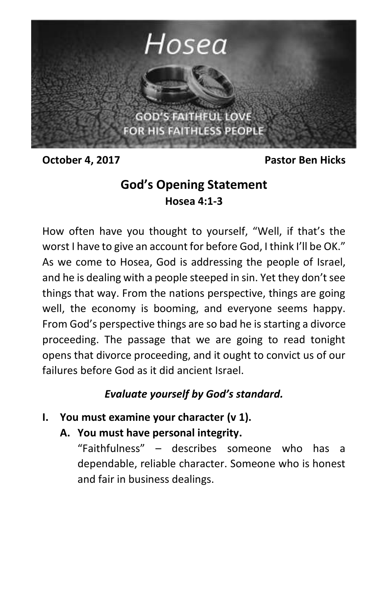

**October 4, 2017** Pastor Ben Hicks

# **God's Opening Statement Hosea 4:1-3**

How often have you thought to yourself, "Well, if that's the worst I have to give an account for before God, I think I'll be OK." As we come to Hosea, God is addressing the people of Israel, and he is dealing with a people steeped in sin. Yet they don't see things that way. From the nations perspective, things are going well, the economy is booming, and everyone seems happy. From God's perspective things are so bad he is starting a divorce proceeding. The passage that we are going to read tonight opens that divorce proceeding, and it ought to convict us of our failures before God as it did ancient Israel.

# *Evaluate yourself by God's standard.*

- **I. You must examine your character (v 1).**
	- **A. You must have personal integrity.**

"Faithfulness" – describes someone who has a dependable, reliable character. Someone who is honest and fair in business dealings.